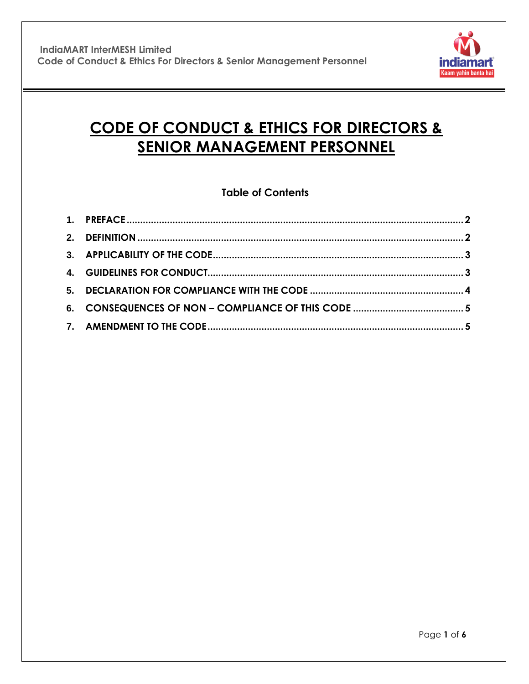

# **CODE OF CONDUCT & ETHICS FOR DIRECTORS & SENIOR MANAGEMENT PERSONNEL**

# **Table of Contents**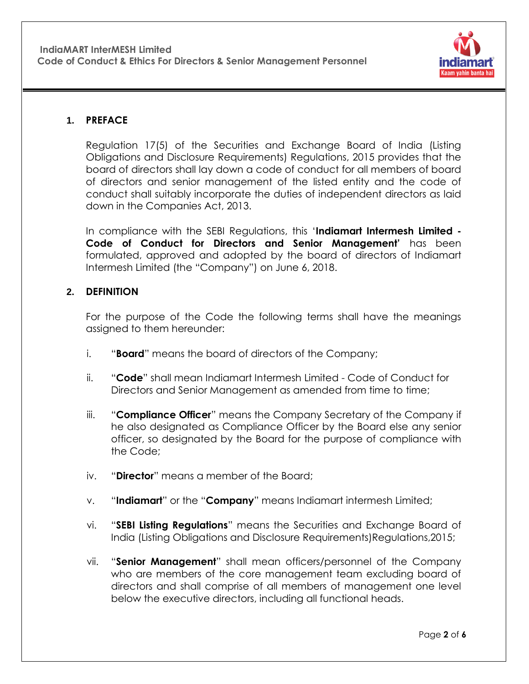

# **1. PREFACE**

Regulation 17(5) of the Securities and Exchange Board of India (Listing Obligations and Disclosure Requirements) Regulations, 2015 provides that the board of directors shall lay down a code of conduct for all members of board of directors and senior management of the listed entity and the code of conduct shall suitably incorporate the duties of independent directors as laid down in the Companies Act, 2013.

In compliance with the SEBI Regulations, this "**Indiamart Intermesh Limited - Code of Conduct for Directors and Senior Management'** has been formulated, approved and adopted by the board of directors of Indiamart Intermesh Limited (the "Company") on June 6, 2018.

#### <span id="page-1-0"></span>**2. DEFINITION**

For the purpose of the Code the following terms shall have the meanings assigned to them hereunder:

- i. "**Board**" means the board of directors of the Company;
- ii. "**Code**" shall mean Indiamart Intermesh Limited Code of Conduct for Directors and Senior Management as amended from time to time;
- iii. "**Compliance Officer**" means the Company Secretary of the Company if he also designated as Compliance Officer by the Board else any senior officer, so designated by the Board for the purpose of compliance with the Code;
- iv. "**Director**" means a member of the Board;
- v. "**Indiamart**" or the "**Company**" means Indiamart intermesh Limited;
- vi. "**SEBI Listing Regulations**" means the Securities and Exchange Board of India (Listing Obligations and Disclosure Requirements)Regulations,2015;
- vii. "**Senior Management**" shall mean officers/personnel of the Company who are members of the core management team excluding board of directors and shall comprise of all members of management one level below the executive directors, including all functional heads.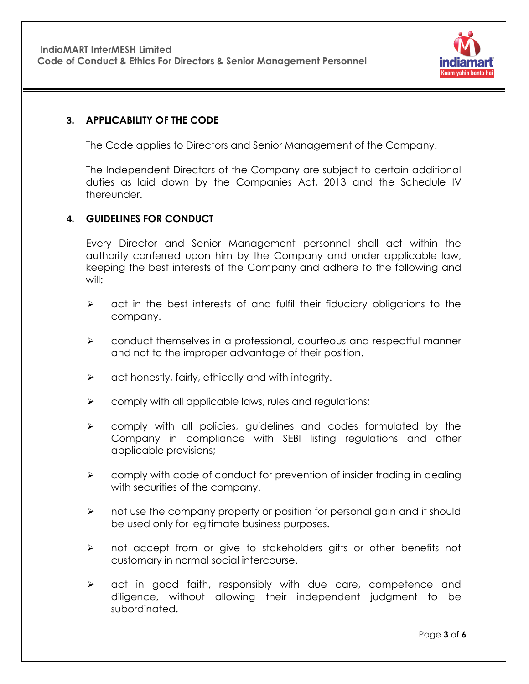

#### <span id="page-2-0"></span>**3. APPLICABILITY OF THE CODE**

The Code applies to Directors and Senior Management of the Company.

The Independent Directors of the Company are subject to certain additional duties as laid down by the Companies Act, 2013 and the Schedule IV thereunder.

# <span id="page-2-1"></span>**4. GUIDELINES FOR CONDUCT**

Every Director and Senior Management personnel shall act within the authority conferred upon him by the Company and under applicable law, keeping the best interests of the Company and adhere to the following and will:

- $\triangleright$  act in the best interests of and fulfil their fiduciary obligations to the company.
- $\triangleright$  conduct themselves in a professional, courteous and respectful manner and not to the improper advantage of their position.
- $\triangleright$  act honestly, fairly, ethically and with integrity.
- $\triangleright$  comply with all applicable laws, rules and regulations;
- $\triangleright$  comply with all policies, quidelines and codes formulated by the Company in compliance with SEBI listing regulations and other applicable provisions;
- $\triangleright$  comply with code of conduct for prevention of insider trading in dealing with securities of the company.
- $\triangleright$  not use the company property or position for personal gain and it should be used only for legitimate business purposes.
- $\triangleright$  not accept from or give to stakeholders gifts or other benefits not customary in normal social intercourse.
- $\triangleright$  act in good faith, responsibly with due care, competence and diligence, without allowing their independent judgment to be subordinated.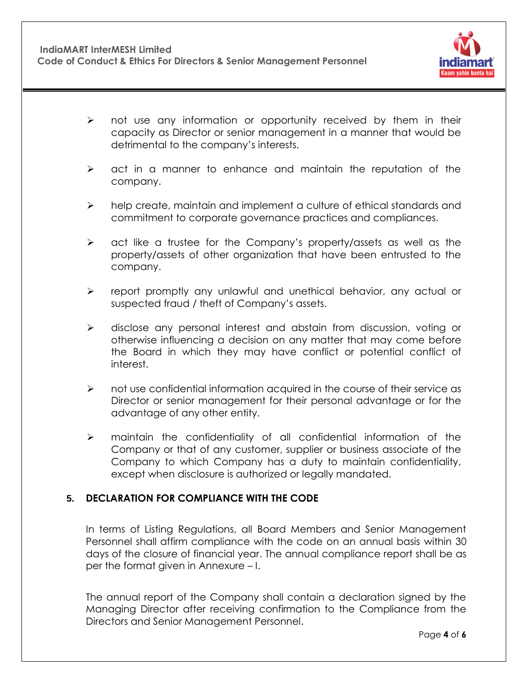

- $\triangleright$  not use any information or opportunity received by them in their capacity as Director or senior management in a manner that would be detrimental to the company"s interests.
- $\triangleright$  act in a manner to enhance and maintain the reputation of the company.
- $\triangleright$  help create, maintain and implement a culture of ethical standards and commitment to corporate governance practices and compliances.
- $\triangleright$  act like a trustee for the Company's property/assets as well as the property/assets of other organization that have been entrusted to the company.
- $\triangleright$  report promptly any unlawful and unethical behavior, any actual or suspected fraud / theft of Company's assets.
- $\triangleright$  disclose any personal interest and abstain from discussion, voting or otherwise influencing a decision on any matter that may come before the Board in which they may have conflict or potential conflict of interest.
- $\triangleright$  not use confidential information acquired in the course of their service as Director or senior management for their personal advantage or for the advantage of any other entity.
- $\triangleright$  maintain the confidentiality of all confidential information of the Company or that of any customer, supplier or business associate of the Company to which Company has a duty to maintain confidentiality, except when disclosure is authorized or legally mandated.

#### <span id="page-3-0"></span>**5. DECLARATION FOR COMPLIANCE WITH THE CODE**

In terms of Listing Regulations, all Board Members and Senior Management Personnel shall affirm compliance with the code on an annual basis within 30 days of the closure of financial year. The annual compliance report shall be as per the format given in Annexure – I.

The annual report of the Company shall contain a declaration signed by the Managing Director after receiving confirmation to the Compliance from the Directors and Senior Management Personnel.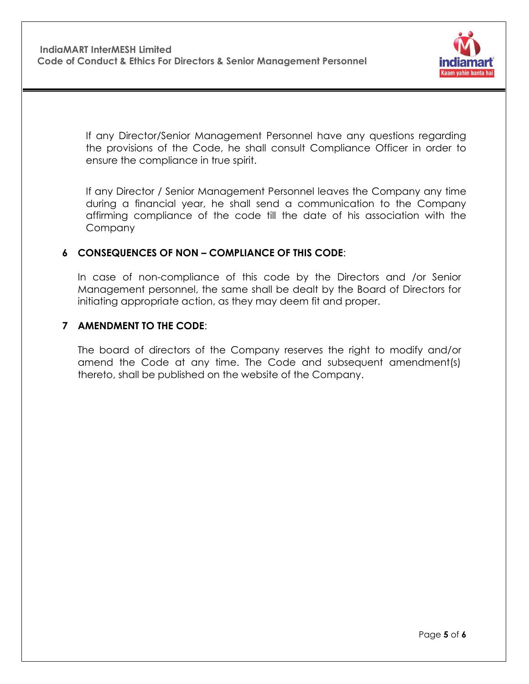

If any Director/Senior Management Personnel have any questions regarding the provisions of the Code, he shall consult Compliance Officer in order to ensure the compliance in true spirit.

If any Director / Senior Management Personnel leaves the Company any time during a financial year, he shall send a communication to the Company affirming compliance of the code till the date of his association with the Company

# **6 CONSEQUENCES OF NON – COMPLIANCE OF THIS CODE**:

In case of non-compliance of this code by the Directors and /or Senior Management personnel, the same shall be dealt by the Board of Directors for initiating appropriate action, as they may deem fit and proper.

#### **7 AMENDMENT TO THE CODE**:

The board of directors of the Company reserves the right to modify and/or amend the Code at any time. The Code and subsequent amendment(s) thereto, shall be published on the website of the Company.